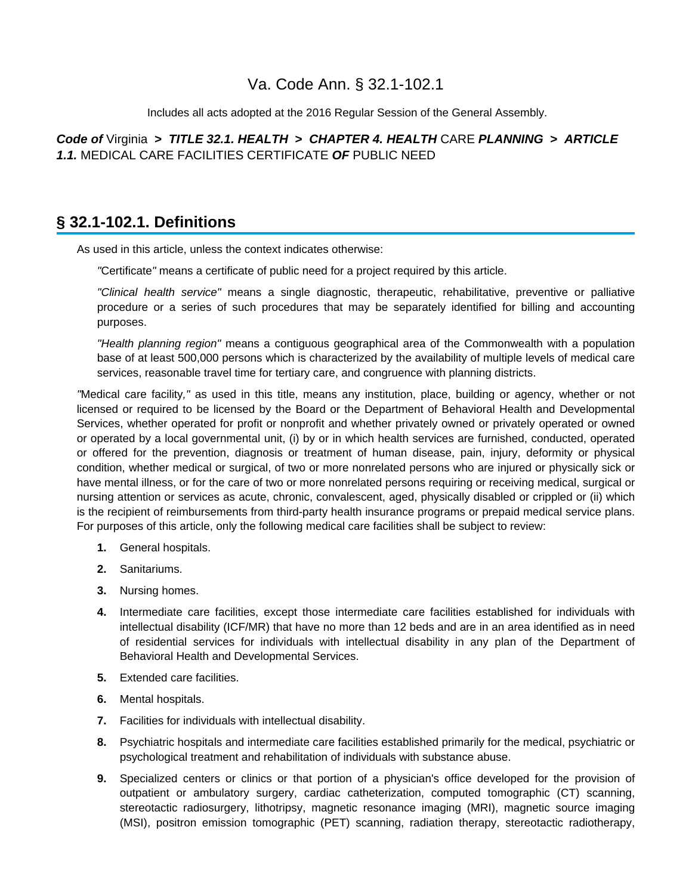## Va. Code Ann. § 32.1-102.1

Includes all acts adopted at the 2016 Regular Session of the General Assembly.

**Code of** Virginia **> TITLE 32.1. HEALTH > CHAPTER 4. HEALTH** CARE **PLANNING > ARTICLE 1.1.** MEDICAL CARE FACILITIES CERTIFICATE **OF** PUBLIC NEED

## **§ 32.1-102.1. Definitions**

As used in this article, unless the context indicates otherwise:

"Certificate" means a certificate of public need for a project required by this article.

"Clinical health service" means a single diagnostic, therapeutic, rehabilitative, preventive or palliative procedure or a series of such procedures that may be separately identified for billing and accounting purposes.

"Health planning region" means a contiguous geographical area of the Commonwealth with a population base of at least 500,000 persons which is characterized by the availability of multiple levels of medical care services, reasonable travel time for tertiary care, and congruence with planning districts.

"Medical care facility," as used in this title, means any institution, place, building or agency, whether or not licensed or required to be licensed by the Board or the Department of Behavioral Health and Developmental Services, whether operated for profit or nonprofit and whether privately owned or privately operated or owned or operated by a local governmental unit, (i) by or in which health services are furnished, conducted, operated or offered for the prevention, diagnosis or treatment of human disease, pain, injury, deformity or physical condition, whether medical or surgical, of two or more nonrelated persons who are injured or physically sick or have mental illness, or for the care of two or more nonrelated persons requiring or receiving medical, surgical or nursing attention or services as acute, chronic, convalescent, aged, physically disabled or crippled or (ii) which is the recipient of reimbursements from third-party health insurance programs or prepaid medical service plans. For purposes of this article, only the following medical care facilities shall be subject to review:

- **1.** General hospitals.
- **2.** Sanitariums.
- **3.** Nursing homes.
- **4.** Intermediate care facilities, except those intermediate care facilities established for individuals with intellectual disability (ICF/MR) that have no more than 12 beds and are in an area identified as in need of residential services for individuals with intellectual disability in any plan of the Department of Behavioral Health and Developmental Services.
- **5.** Extended care facilities.
- **6.** Mental hospitals.
- **7.** Facilities for individuals with intellectual disability.
- **8.** Psychiatric hospitals and intermediate care facilities established primarily for the medical, psychiatric or psychological treatment and rehabilitation of individuals with substance abuse.
- **9.** Specialized centers or clinics or that portion of a physician's office developed for the provision of outpatient or ambulatory surgery, cardiac catheterization, computed tomographic (CT) scanning, stereotactic radiosurgery, lithotripsy, magnetic resonance imaging (MRI), magnetic source imaging (MSI), positron emission tomographic (PET) scanning, radiation therapy, stereotactic radiotherapy,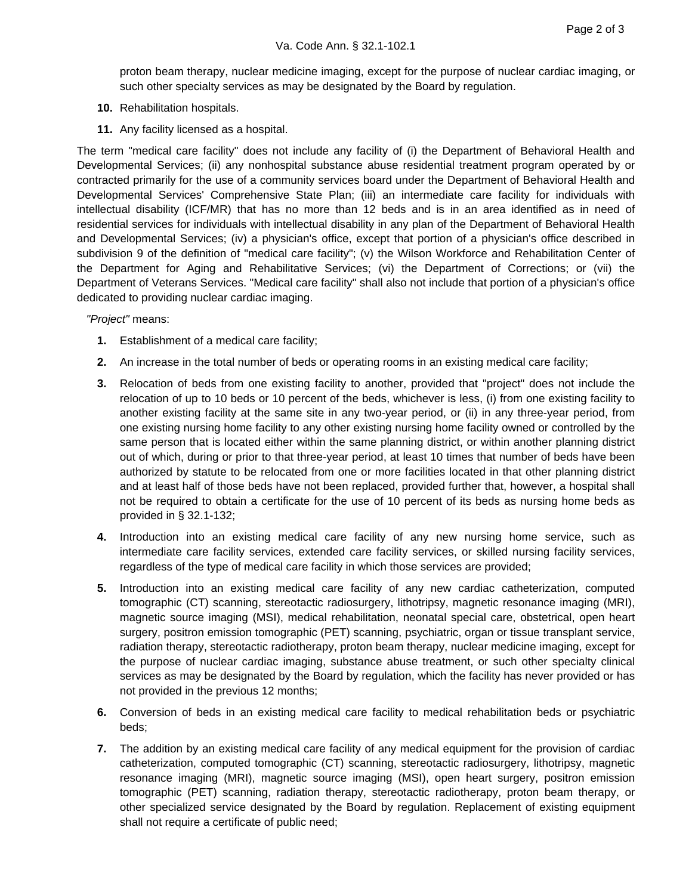proton beam therapy, nuclear medicine imaging, except for the purpose of nuclear cardiac imaging, or such other specialty services as may be designated by the Board by regulation.

- **10.** Rehabilitation hospitals.
- **11.** Any facility licensed as a hospital.

The term "medical care facility" does not include any facility of (i) the Department of Behavioral Health and Developmental Services; (ii) any nonhospital substance abuse residential treatment program operated by or contracted primarily for the use of a community services board under the Department of Behavioral Health and Developmental Services' Comprehensive State Plan; (iii) an intermediate care facility for individuals with intellectual disability (ICF/MR) that has no more than 12 beds and is in an area identified as in need of residential services for individuals with intellectual disability in any plan of the Department of Behavioral Health and Developmental Services; (iv) a physician's office, except that portion of a physician's office described in subdivision 9 of the definition of "medical care facility"; (v) the Wilson Workforce and Rehabilitation Center of the Department for Aging and Rehabilitative Services; (vi) the Department of Corrections; or (vii) the Department of Veterans Services. "Medical care facility" shall also not include that portion of a physician's office dedicated to providing nuclear cardiac imaging.

"Project" means:

- **1.** Establishment of a medical care facility;
- **2.** An increase in the total number of beds or operating rooms in an existing medical care facility;
- **3.** Relocation of beds from one existing facility to another, provided that "project" does not include the relocation of up to 10 beds or 10 percent of the beds, whichever is less, (i) from one existing facility to another existing facility at the same site in any two-year period, or (ii) in any three-year period, from one existing nursing home facility to any other existing nursing home facility owned or controlled by the same person that is located either within the same planning district, or within another planning district out of which, during or prior to that three-year period, at least 10 times that number of beds have been authorized by statute to be relocated from one or more facilities located in that other planning district and at least half of those beds have not been replaced, provided further that, however, a hospital shall not be required to obtain a certificate for the use of 10 percent of its beds as nursing home beds as provided in § 32.1-132;
- **4.** Introduction into an existing medical care facility of any new nursing home service, such as intermediate care facility services, extended care facility services, or skilled nursing facility services, regardless of the type of medical care facility in which those services are provided;
- **5.** Introduction into an existing medical care facility of any new cardiac catheterization, computed tomographic (CT) scanning, stereotactic radiosurgery, lithotripsy, magnetic resonance imaging (MRI), magnetic source imaging (MSI), medical rehabilitation, neonatal special care, obstetrical, open heart surgery, positron emission tomographic (PET) scanning, psychiatric, organ or tissue transplant service, radiation therapy, stereotactic radiotherapy, proton beam therapy, nuclear medicine imaging, except for the purpose of nuclear cardiac imaging, substance abuse treatment, or such other specialty clinical services as may be designated by the Board by regulation, which the facility has never provided or has not provided in the previous 12 months;
- **6.** Conversion of beds in an existing medical care facility to medical rehabilitation beds or psychiatric beds;
- **7.** The addition by an existing medical care facility of any medical equipment for the provision of cardiac catheterization, computed tomographic (CT) scanning, stereotactic radiosurgery, lithotripsy, magnetic resonance imaging (MRI), magnetic source imaging (MSI), open heart surgery, positron emission tomographic (PET) scanning, radiation therapy, stereotactic radiotherapy, proton beam therapy, or other specialized service designated by the Board by regulation. Replacement of existing equipment shall not require a certificate of public need;